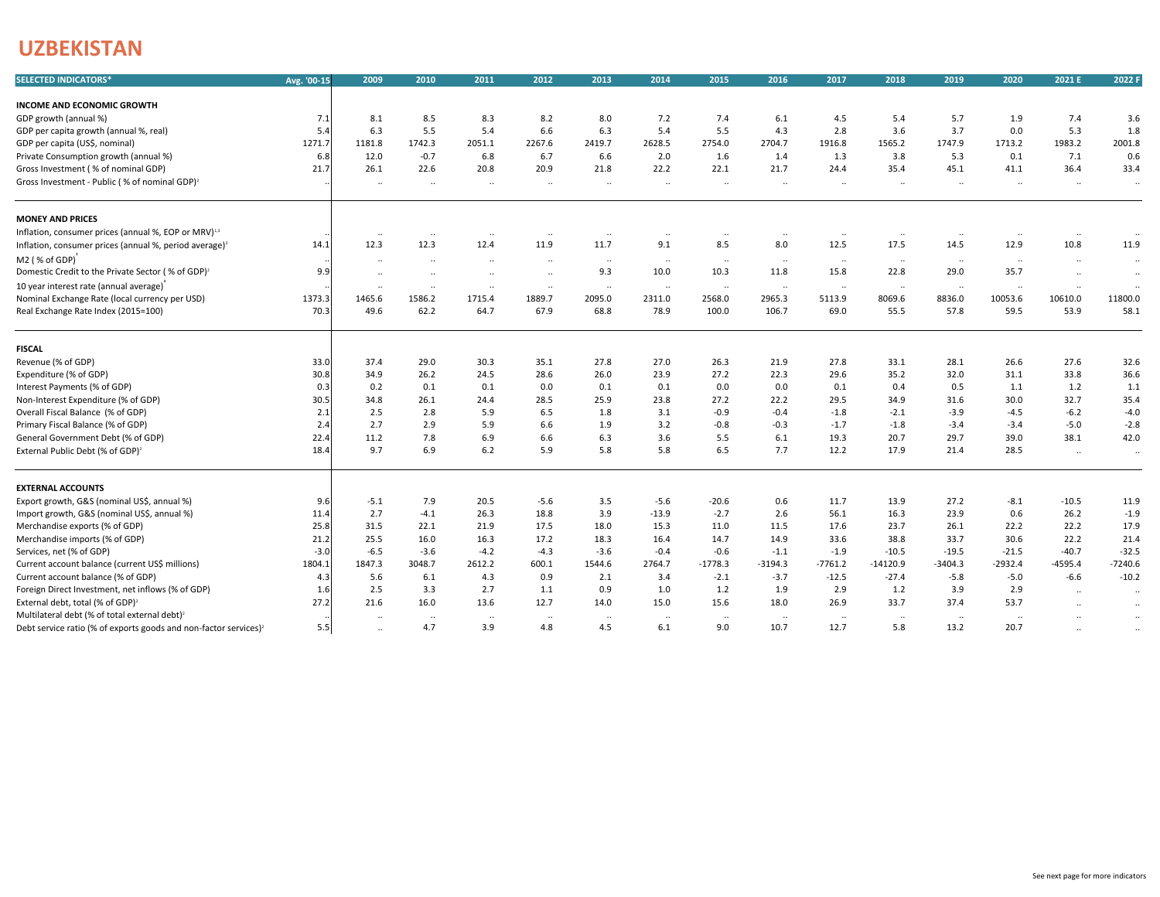## **UZBEKISTAN**

| <b>INCOME AND ECONOMIC GROWTH</b><br>GDP growth (annual %)<br>8.1<br>8.5<br>8.3<br>8.2<br>8.0<br>7.2<br>7.4<br>5.4<br>5.7<br>1.9<br>7.4<br>3.6<br>7.1<br>6.1<br>4.5<br>5.4<br>6.3<br>5.5<br>5.4<br>6.6<br>6.3<br>5.4<br>5.5<br>4.3<br>2.8<br>3.6<br>3.7<br>0.0<br>5.3<br>1.8<br>GDP per capita growth (annual %, real)<br>1983.2<br>GDP per capita (US\$, nominal)<br>1271.7<br>1181.8<br>1742.3<br>2051.1<br>2267.6<br>2419.7<br>2628.5<br>2754.0<br>2704.7<br>1916.8<br>1565.2<br>1747.9<br>1713.2<br>2001.8<br>7.1<br>0.6<br>12.0<br>$-0.7$<br>6.8<br>6.7<br>2.0<br>3.8<br>5.3<br>0.1<br>Private Consumption growth (annual %)<br>6.8<br>6.6<br>1.6<br>1.4<br>1.3<br>22.6<br>Gross Investment (% of nominal GDP)<br>21.7<br>26.1<br>20.8<br>20.9<br>21.8<br>22.2<br>22.1<br>21.7<br>24.4<br>35.4<br>45.1<br>41.1<br>36.4<br>33.4<br>Gross Investment - Public (% of nominal GDP) <sup>2</sup><br>$\ddotsc$<br>$\ldots$<br>$\sim$<br>$\cdot\cdot$<br>$\ddot{\phantom{0}}$<br>$\ldots$<br>$\cdot\cdot$<br>$\ldots$<br>$\cdot$<br>$\ddotsc$<br>$\ldots$<br>$\ddotsc$<br>$\ldots$<br>$\cdot\cdot$<br><b>MONEY AND PRICES</b><br>Inflation, consumer prices (annual %, EOP or MRV) <sup>1,3</sup><br>$\ddotsc$<br>$\ddotsc$<br>$\ddotsc$<br>٠.<br>$\ddotsc$<br>$\ddotsc$<br>$\ddotsc$<br>.<br>$\ddotsc$<br>$\ddotsc$<br>٠.<br>$\ddotsc$<br>$\ldots$<br>$\ddotsc$<br>12.9<br>12.3<br>12.3<br>8.5<br>8.0<br>12.5<br>17.5<br>10.8<br>12.4<br>11.9<br>11.7<br>9.1<br>14.5<br>11.9<br>Inflation, consumer prices (annual %, period average) <sup>3</sup><br>14.1<br>M2 (% of GDP)<br>$\cdot$<br>$\ldots$<br>$\cdots$<br>$\ddotsc$<br>$\ddotsc$<br>$\ddotsc$<br>$\sim$<br>$\ddotsc$<br>$\ddotsc$<br>$\ddotsc$<br>$\ddotsc$<br>$\sim$<br>$\ddotsc$<br>$\cdot$<br>9.3<br>35.7<br>Domestic Credit to the Private Sector (% of GDP) <sup>2</sup><br>9.9<br>10.0<br>10.3<br>11.8<br>15.8<br>22.8<br>29.0<br>$\ddotsc$<br>$\ddotsc$<br>$\ddotsc$<br>$\ddotsc$<br>$\ddotsc$<br>$\ddotsc$<br>10 year interest rate (annual average)<br>$\ddotsc$<br>$\ldots$<br>$\ldots$<br>$\cdots$<br>$\cdots$<br>$\ddotsc$<br>$\ldots$<br>$\cdots$<br>$\cdots$<br>$\ldots$<br>$\ddotsc$<br>$\sim$<br>$\sim$<br>$\sim$<br>10053.6<br>11800.0<br>Nominal Exchange Rate (local currency per USD)<br>1373.3<br>1586.2<br>1889.7<br>2568.0<br>2965.3<br>5113.9<br>8069.6<br>8836.0<br>10610.0<br>1465.6<br>1715.4<br>2095.0<br>2311.0<br>49.6<br>62.2<br>64.7<br>67.9<br>69.0<br>57.8<br>59.5<br>53.9<br>58.1<br>Real Exchange Rate Index (2015=100)<br>70.3<br>68.8<br>78.9<br>100.0<br>106.7<br>55.5<br><b>FISCAL</b><br>29.0<br>27.8<br>26.6<br>27.6<br>Revenue (% of GDP)<br>33.0<br>37.4<br>30.3<br>35.1<br>27.0<br>26.3<br>21.9<br>27.8<br>33.1<br>28.1<br>32.6<br>36.6<br>30.8<br>34.9<br>26.2<br>24.5<br>28.6<br>26.0<br>23.9<br>22.3<br>29.6<br>35.2<br>32.0<br>31.1<br>33.8<br>Expenditure (% of GDP)<br>27.2<br>0.5<br>0.3<br>0.2<br>0.1<br>0.1<br>0.0<br>0.1<br>0.1<br>0.0<br>0.0<br>0.1<br>0.4<br>1.1<br>1.2<br>1.1<br>Interest Payments (% of GDP)<br>30.5<br>34.8<br>26.1<br>28.5<br>25.9<br>23.8<br>29.5<br>34.9<br>30.0<br>32.7<br>35.4<br>Non-Interest Expenditure (% of GDP)<br>24.4<br>27.2<br>22.2<br>31.6<br>2.5<br>2.8<br>6.5<br>$-6.2$<br>Overall Fiscal Balance (% of GDP)<br>2.1<br>5.9<br>1.8<br>3.1<br>$-0.9$<br>$-0.4$<br>$-1.8$<br>$-2.1$<br>$-3.9$<br>$-4.5$<br>$-4.0$<br>2.7<br>2.9<br>5.9<br>1.9<br>3.2<br>$-5.0$<br>$-2.8$<br>Primary Fiscal Balance (% of GDP)<br>2.4<br>6.6<br>$-0.8$<br>$-0.3$<br>$-1.7$<br>$-1.8$<br>$-3.4$<br>$-3.4$<br>7.8<br>22.4<br>11.2<br>6.9<br>6.6<br>6.3<br>3.6<br>5.5<br>6.1<br>19.3<br>20.7<br>29.7<br>39.0<br>38.1<br>42.0<br>General Government Debt (% of GDP)<br>18.4<br>9.7<br>6.9<br>6.2<br>5.9<br>5.8<br>5.8<br>6.5<br>7.7<br>12.2<br>17.9<br>21.4<br>28.5<br>External Public Debt (% of GDP)<br>$\mathbf{r}$ .<br>$\ddotsc$<br><b>EXTERNAL ACCOUNTS</b><br>7.9<br>3.5<br>27.2<br>Export growth, G&S (nominal US\$, annual %)<br>$-5.1$<br>20.5<br>$-5.6$<br>$-5.6$<br>$-20.6$<br>0.6<br>11.7<br>13.9<br>$-8.1$<br>$-10.5$<br>11.9<br>9.6<br>2.7<br>$-4.1$<br>26.3<br>18.8<br>3.9<br>23.9<br>0.6<br>26.2<br>$-1.9$<br>Import growth, G&S (nominal US\$, annual %)<br>11.4<br>$-13.9$<br>$-2.7$<br>2.6<br>56.1<br>16.3<br>25.8<br>Merchandise exports (% of GDP)<br>31.5<br>22.1<br>21.9<br>18.0<br>15.3<br>23.7<br>26.1<br>22.2<br>22.2<br>17.9<br>17.5<br>11.0<br>11.5<br>17.6<br>25.5<br>16.0<br>33.6<br>38.8<br>33.7<br>30.6<br>22.2<br>21.4<br>Merchandise imports (% of GDP)<br>21.2<br>16.3<br>17.2<br>18.3<br>16.4<br>14.7<br>14.9<br>$-6.5$<br>$-40.7$<br>$-32.5$<br>$-3.0$<br>$-3.6$<br>$-4.2$<br>$-4.3$<br>$-3.6$<br>$-0.4$<br>$-1.9$<br>$-10.5$<br>$-19.5$<br>$-21.5$<br>Services, net (% of GDP)<br>$-0.6$<br>$-1.1$<br>1847.3<br>3048.7<br>2612.2<br>$-14120.9$<br>$-3404.3$<br>$-2932.4$<br>$-4595.4$<br>$-7240.6$<br>Current account balance (current US\$ millions)<br>1804.1<br>600.1<br>1544.6<br>2764.7<br>$-1778.3$<br>$-3194.3$<br>$-7761.2$<br>Current account balance (% of GDP)<br>5.6<br>6.1<br>4.3<br>0.9<br>2.1<br>$-2.1$<br>$-3.7$<br>$-12.5$<br>$-27.4$<br>$-5.8$<br>$-6.6$<br>$-10.2$<br>4.3<br>3.4<br>$-5.0$<br>2.5<br>3.3<br>2.7<br>1.1<br>0.9<br>1.2<br>1.9<br>2.9<br>1.2<br>3.9<br>2.9<br>Foreign Direct Investment, net inflows (% of GDP)<br>1.6<br>1.0<br>$\ldots$<br>$\cdots$<br>27.2<br>21.6<br>16.0<br>13.6<br>33.7<br>37.4<br>53.7<br>External debt, total (% of GDP) <sup>2</sup><br>12.7<br>14.0<br>15.0<br>15.6<br>18.0<br>26.9<br>$\ddotsc$<br>$\cdots$<br>Multilateral debt (% of total external debt) <sup>2</sup><br>$\ddotsc$<br>$\ddotsc$<br>$\ddotsc$<br>.<br>$\ddotsc$<br>$\ddotsc$<br>$\ddotsc$<br>$\ldots$<br>.<br>$\ddotsc$<br>$\ddotsc$<br>.<br>$\sim$<br>3.9<br>4.8<br>Debt service ratio (% of exports goods and non-factor services) <sup>2</sup><br>5.5<br>4.7<br>4.5<br>6.1<br>9.0<br>10.7<br>12.7<br>5.8<br>13.2<br>20.7<br>$\sim$<br>$\ldots$ | <b>SELECTED INDICATORS*</b> | Avg. '00-15 | 2009 | 2010 | 2011 | 2012 | 2013 | 2014 | 2015 | 2016 | 2017 | 2018 | 2019 | 2020 | 2021E | 2022 F |
|----------------------------------------------------------------------------------------------------------------------------------------------------------------------------------------------------------------------------------------------------------------------------------------------------------------------------------------------------------------------------------------------------------------------------------------------------------------------------------------------------------------------------------------------------------------------------------------------------------------------------------------------------------------------------------------------------------------------------------------------------------------------------------------------------------------------------------------------------------------------------------------------------------------------------------------------------------------------------------------------------------------------------------------------------------------------------------------------------------------------------------------------------------------------------------------------------------------------------------------------------------------------------------------------------------------------------------------------------------------------------------------------------------------------------------------------------------------------------------------------------------------------------------------------------------------------------------------------------------------------------------------------------------------------------------------------------------------------------------------------------------------------------------------------------------------------------------------------------------------------------------------------------------------------------------------------------------------------------------------------------------------------------------------------------------------------------------------------------------------------------------------------------------------------------------------------------------------------------------------------------------------------------------------------------------------------------------------------------------------------------------------------------------------------------------------------------------------------------------------------------------------------------------------------------------------------------------------------------------------------------------------------------------------------------------------------------------------------------------------------------------------------------------------------------------------------------------------------------------------------------------------------------------------------------------------------------------------------------------------------------------------------------------------------------------------------------------------------------------------------------------------------------------------------------------------------------------------------------------------------------------------------------------------------------------------------------------------------------------------------------------------------------------------------------------------------------------------------------------------------------------------------------------------------------------------------------------------------------------------------------------------------------------------------------------------------------------------------------------------------------------------------------------------------------------------------------------------------------------------------------------------------------------------------------------------------------------------------------------------------------------------------------------------------------------------------------------------------------------------------------------------------------------------------------------------------------------------------------------------------------------------------------------------------------------------------------------------------------------------------------------------------------------------------------------------------------------------------------------------------------------------------------------------------------------------------------------------------------------------------------------------------------------------------------------------------------------------------------------------------------------------------------------------------------------------------------------------------------------------------------------------------------------------------------------------------------------------------------------------------------------------------------------------------------------------------------------------------------------------------------------------------------------------------------------------------------------------------------------------------------------------------------------------------------------------------------------------------------------------------------------------------------------------------------------------------------------------------------------------------------------------------------------------------------------------------------------------------------------------------------------------------------------------------------------------------------------------------------------------------------------------------------------------------------------------------------------------------------------------------------------------------------------------------------------------------------|-----------------------------|-------------|------|------|------|------|------|------|------|------|------|------|------|------|-------|--------|
|                                                                                                                                                                                                                                                                                                                                                                                                                                                                                                                                                                                                                                                                                                                                                                                                                                                                                                                                                                                                                                                                                                                                                                                                                                                                                                                                                                                                                                                                                                                                                                                                                                                                                                                                                                                                                                                                                                                                                                                                                                                                                                                                                                                                                                                                                                                                                                                                                                                                                                                                                                                                                                                                                                                                                                                                                                                                                                                                                                                                                                                                                                                                                                                                                                                                                                                                                                                                                                                                                                                                                                                                                                                                                                                                                                                                                                                                                                                                                                                                                                                                                                                                                                                                                                                                                                                                                                                                                                                                                                                                                                                                                                                                                                                                                                                                                                                                                                                                                                                                                                                                                                                                                                                                                                                                                                                                                                                                                                                                                                                                                                                                                                                                                                                                                                                                                                                                                                                                                    |                             |             |      |      |      |      |      |      |      |      |      |      |      |      |       |        |
|                                                                                                                                                                                                                                                                                                                                                                                                                                                                                                                                                                                                                                                                                                                                                                                                                                                                                                                                                                                                                                                                                                                                                                                                                                                                                                                                                                                                                                                                                                                                                                                                                                                                                                                                                                                                                                                                                                                                                                                                                                                                                                                                                                                                                                                                                                                                                                                                                                                                                                                                                                                                                                                                                                                                                                                                                                                                                                                                                                                                                                                                                                                                                                                                                                                                                                                                                                                                                                                                                                                                                                                                                                                                                                                                                                                                                                                                                                                                                                                                                                                                                                                                                                                                                                                                                                                                                                                                                                                                                                                                                                                                                                                                                                                                                                                                                                                                                                                                                                                                                                                                                                                                                                                                                                                                                                                                                                                                                                                                                                                                                                                                                                                                                                                                                                                                                                                                                                                                                    |                             |             |      |      |      |      |      |      |      |      |      |      |      |      |       |        |
|                                                                                                                                                                                                                                                                                                                                                                                                                                                                                                                                                                                                                                                                                                                                                                                                                                                                                                                                                                                                                                                                                                                                                                                                                                                                                                                                                                                                                                                                                                                                                                                                                                                                                                                                                                                                                                                                                                                                                                                                                                                                                                                                                                                                                                                                                                                                                                                                                                                                                                                                                                                                                                                                                                                                                                                                                                                                                                                                                                                                                                                                                                                                                                                                                                                                                                                                                                                                                                                                                                                                                                                                                                                                                                                                                                                                                                                                                                                                                                                                                                                                                                                                                                                                                                                                                                                                                                                                                                                                                                                                                                                                                                                                                                                                                                                                                                                                                                                                                                                                                                                                                                                                                                                                                                                                                                                                                                                                                                                                                                                                                                                                                                                                                                                                                                                                                                                                                                                                                    |                             |             |      |      |      |      |      |      |      |      |      |      |      |      |       |        |
|                                                                                                                                                                                                                                                                                                                                                                                                                                                                                                                                                                                                                                                                                                                                                                                                                                                                                                                                                                                                                                                                                                                                                                                                                                                                                                                                                                                                                                                                                                                                                                                                                                                                                                                                                                                                                                                                                                                                                                                                                                                                                                                                                                                                                                                                                                                                                                                                                                                                                                                                                                                                                                                                                                                                                                                                                                                                                                                                                                                                                                                                                                                                                                                                                                                                                                                                                                                                                                                                                                                                                                                                                                                                                                                                                                                                                                                                                                                                                                                                                                                                                                                                                                                                                                                                                                                                                                                                                                                                                                                                                                                                                                                                                                                                                                                                                                                                                                                                                                                                                                                                                                                                                                                                                                                                                                                                                                                                                                                                                                                                                                                                                                                                                                                                                                                                                                                                                                                                                    |                             |             |      |      |      |      |      |      |      |      |      |      |      |      |       |        |
|                                                                                                                                                                                                                                                                                                                                                                                                                                                                                                                                                                                                                                                                                                                                                                                                                                                                                                                                                                                                                                                                                                                                                                                                                                                                                                                                                                                                                                                                                                                                                                                                                                                                                                                                                                                                                                                                                                                                                                                                                                                                                                                                                                                                                                                                                                                                                                                                                                                                                                                                                                                                                                                                                                                                                                                                                                                                                                                                                                                                                                                                                                                                                                                                                                                                                                                                                                                                                                                                                                                                                                                                                                                                                                                                                                                                                                                                                                                                                                                                                                                                                                                                                                                                                                                                                                                                                                                                                                                                                                                                                                                                                                                                                                                                                                                                                                                                                                                                                                                                                                                                                                                                                                                                                                                                                                                                                                                                                                                                                                                                                                                                                                                                                                                                                                                                                                                                                                                                                    |                             |             |      |      |      |      |      |      |      |      |      |      |      |      |       |        |
|                                                                                                                                                                                                                                                                                                                                                                                                                                                                                                                                                                                                                                                                                                                                                                                                                                                                                                                                                                                                                                                                                                                                                                                                                                                                                                                                                                                                                                                                                                                                                                                                                                                                                                                                                                                                                                                                                                                                                                                                                                                                                                                                                                                                                                                                                                                                                                                                                                                                                                                                                                                                                                                                                                                                                                                                                                                                                                                                                                                                                                                                                                                                                                                                                                                                                                                                                                                                                                                                                                                                                                                                                                                                                                                                                                                                                                                                                                                                                                                                                                                                                                                                                                                                                                                                                                                                                                                                                                                                                                                                                                                                                                                                                                                                                                                                                                                                                                                                                                                                                                                                                                                                                                                                                                                                                                                                                                                                                                                                                                                                                                                                                                                                                                                                                                                                                                                                                                                                                    |                             |             |      |      |      |      |      |      |      |      |      |      |      |      |       |        |
|                                                                                                                                                                                                                                                                                                                                                                                                                                                                                                                                                                                                                                                                                                                                                                                                                                                                                                                                                                                                                                                                                                                                                                                                                                                                                                                                                                                                                                                                                                                                                                                                                                                                                                                                                                                                                                                                                                                                                                                                                                                                                                                                                                                                                                                                                                                                                                                                                                                                                                                                                                                                                                                                                                                                                                                                                                                                                                                                                                                                                                                                                                                                                                                                                                                                                                                                                                                                                                                                                                                                                                                                                                                                                                                                                                                                                                                                                                                                                                                                                                                                                                                                                                                                                                                                                                                                                                                                                                                                                                                                                                                                                                                                                                                                                                                                                                                                                                                                                                                                                                                                                                                                                                                                                                                                                                                                                                                                                                                                                                                                                                                                                                                                                                                                                                                                                                                                                                                                                    |                             |             |      |      |      |      |      |      |      |      |      |      |      |      |       |        |
|                                                                                                                                                                                                                                                                                                                                                                                                                                                                                                                                                                                                                                                                                                                                                                                                                                                                                                                                                                                                                                                                                                                                                                                                                                                                                                                                                                                                                                                                                                                                                                                                                                                                                                                                                                                                                                                                                                                                                                                                                                                                                                                                                                                                                                                                                                                                                                                                                                                                                                                                                                                                                                                                                                                                                                                                                                                                                                                                                                                                                                                                                                                                                                                                                                                                                                                                                                                                                                                                                                                                                                                                                                                                                                                                                                                                                                                                                                                                                                                                                                                                                                                                                                                                                                                                                                                                                                                                                                                                                                                                                                                                                                                                                                                                                                                                                                                                                                                                                                                                                                                                                                                                                                                                                                                                                                                                                                                                                                                                                                                                                                                                                                                                                                                                                                                                                                                                                                                                                    |                             |             |      |      |      |      |      |      |      |      |      |      |      |      |       |        |
|                                                                                                                                                                                                                                                                                                                                                                                                                                                                                                                                                                                                                                                                                                                                                                                                                                                                                                                                                                                                                                                                                                                                                                                                                                                                                                                                                                                                                                                                                                                                                                                                                                                                                                                                                                                                                                                                                                                                                                                                                                                                                                                                                                                                                                                                                                                                                                                                                                                                                                                                                                                                                                                                                                                                                                                                                                                                                                                                                                                                                                                                                                                                                                                                                                                                                                                                                                                                                                                                                                                                                                                                                                                                                                                                                                                                                                                                                                                                                                                                                                                                                                                                                                                                                                                                                                                                                                                                                                                                                                                                                                                                                                                                                                                                                                                                                                                                                                                                                                                                                                                                                                                                                                                                                                                                                                                                                                                                                                                                                                                                                                                                                                                                                                                                                                                                                                                                                                                                                    |                             |             |      |      |      |      |      |      |      |      |      |      |      |      |       |        |
|                                                                                                                                                                                                                                                                                                                                                                                                                                                                                                                                                                                                                                                                                                                                                                                                                                                                                                                                                                                                                                                                                                                                                                                                                                                                                                                                                                                                                                                                                                                                                                                                                                                                                                                                                                                                                                                                                                                                                                                                                                                                                                                                                                                                                                                                                                                                                                                                                                                                                                                                                                                                                                                                                                                                                                                                                                                                                                                                                                                                                                                                                                                                                                                                                                                                                                                                                                                                                                                                                                                                                                                                                                                                                                                                                                                                                                                                                                                                                                                                                                                                                                                                                                                                                                                                                                                                                                                                                                                                                                                                                                                                                                                                                                                                                                                                                                                                                                                                                                                                                                                                                                                                                                                                                                                                                                                                                                                                                                                                                                                                                                                                                                                                                                                                                                                                                                                                                                                                                    |                             |             |      |      |      |      |      |      |      |      |      |      |      |      |       |        |
|                                                                                                                                                                                                                                                                                                                                                                                                                                                                                                                                                                                                                                                                                                                                                                                                                                                                                                                                                                                                                                                                                                                                                                                                                                                                                                                                                                                                                                                                                                                                                                                                                                                                                                                                                                                                                                                                                                                                                                                                                                                                                                                                                                                                                                                                                                                                                                                                                                                                                                                                                                                                                                                                                                                                                                                                                                                                                                                                                                                                                                                                                                                                                                                                                                                                                                                                                                                                                                                                                                                                                                                                                                                                                                                                                                                                                                                                                                                                                                                                                                                                                                                                                                                                                                                                                                                                                                                                                                                                                                                                                                                                                                                                                                                                                                                                                                                                                                                                                                                                                                                                                                                                                                                                                                                                                                                                                                                                                                                                                                                                                                                                                                                                                                                                                                                                                                                                                                                                                    |                             |             |      |      |      |      |      |      |      |      |      |      |      |      |       |        |
|                                                                                                                                                                                                                                                                                                                                                                                                                                                                                                                                                                                                                                                                                                                                                                                                                                                                                                                                                                                                                                                                                                                                                                                                                                                                                                                                                                                                                                                                                                                                                                                                                                                                                                                                                                                                                                                                                                                                                                                                                                                                                                                                                                                                                                                                                                                                                                                                                                                                                                                                                                                                                                                                                                                                                                                                                                                                                                                                                                                                                                                                                                                                                                                                                                                                                                                                                                                                                                                                                                                                                                                                                                                                                                                                                                                                                                                                                                                                                                                                                                                                                                                                                                                                                                                                                                                                                                                                                                                                                                                                                                                                                                                                                                                                                                                                                                                                                                                                                                                                                                                                                                                                                                                                                                                                                                                                                                                                                                                                                                                                                                                                                                                                                                                                                                                                                                                                                                                                                    |                             |             |      |      |      |      |      |      |      |      |      |      |      |      |       |        |
|                                                                                                                                                                                                                                                                                                                                                                                                                                                                                                                                                                                                                                                                                                                                                                                                                                                                                                                                                                                                                                                                                                                                                                                                                                                                                                                                                                                                                                                                                                                                                                                                                                                                                                                                                                                                                                                                                                                                                                                                                                                                                                                                                                                                                                                                                                                                                                                                                                                                                                                                                                                                                                                                                                                                                                                                                                                                                                                                                                                                                                                                                                                                                                                                                                                                                                                                                                                                                                                                                                                                                                                                                                                                                                                                                                                                                                                                                                                                                                                                                                                                                                                                                                                                                                                                                                                                                                                                                                                                                                                                                                                                                                                                                                                                                                                                                                                                                                                                                                                                                                                                                                                                                                                                                                                                                                                                                                                                                                                                                                                                                                                                                                                                                                                                                                                                                                                                                                                                                    |                             |             |      |      |      |      |      |      |      |      |      |      |      |      |       |        |
|                                                                                                                                                                                                                                                                                                                                                                                                                                                                                                                                                                                                                                                                                                                                                                                                                                                                                                                                                                                                                                                                                                                                                                                                                                                                                                                                                                                                                                                                                                                                                                                                                                                                                                                                                                                                                                                                                                                                                                                                                                                                                                                                                                                                                                                                                                                                                                                                                                                                                                                                                                                                                                                                                                                                                                                                                                                                                                                                                                                                                                                                                                                                                                                                                                                                                                                                                                                                                                                                                                                                                                                                                                                                                                                                                                                                                                                                                                                                                                                                                                                                                                                                                                                                                                                                                                                                                                                                                                                                                                                                                                                                                                                                                                                                                                                                                                                                                                                                                                                                                                                                                                                                                                                                                                                                                                                                                                                                                                                                                                                                                                                                                                                                                                                                                                                                                                                                                                                                                    |                             |             |      |      |      |      |      |      |      |      |      |      |      |      |       |        |
|                                                                                                                                                                                                                                                                                                                                                                                                                                                                                                                                                                                                                                                                                                                                                                                                                                                                                                                                                                                                                                                                                                                                                                                                                                                                                                                                                                                                                                                                                                                                                                                                                                                                                                                                                                                                                                                                                                                                                                                                                                                                                                                                                                                                                                                                                                                                                                                                                                                                                                                                                                                                                                                                                                                                                                                                                                                                                                                                                                                                                                                                                                                                                                                                                                                                                                                                                                                                                                                                                                                                                                                                                                                                                                                                                                                                                                                                                                                                                                                                                                                                                                                                                                                                                                                                                                                                                                                                                                                                                                                                                                                                                                                                                                                                                                                                                                                                                                                                                                                                                                                                                                                                                                                                                                                                                                                                                                                                                                                                                                                                                                                                                                                                                                                                                                                                                                                                                                                                                    |                             |             |      |      |      |      |      |      |      |      |      |      |      |      |       |        |
|                                                                                                                                                                                                                                                                                                                                                                                                                                                                                                                                                                                                                                                                                                                                                                                                                                                                                                                                                                                                                                                                                                                                                                                                                                                                                                                                                                                                                                                                                                                                                                                                                                                                                                                                                                                                                                                                                                                                                                                                                                                                                                                                                                                                                                                                                                                                                                                                                                                                                                                                                                                                                                                                                                                                                                                                                                                                                                                                                                                                                                                                                                                                                                                                                                                                                                                                                                                                                                                                                                                                                                                                                                                                                                                                                                                                                                                                                                                                                                                                                                                                                                                                                                                                                                                                                                                                                                                                                                                                                                                                                                                                                                                                                                                                                                                                                                                                                                                                                                                                                                                                                                                                                                                                                                                                                                                                                                                                                                                                                                                                                                                                                                                                                                                                                                                                                                                                                                                                                    |                             |             |      |      |      |      |      |      |      |      |      |      |      |      |       |        |
|                                                                                                                                                                                                                                                                                                                                                                                                                                                                                                                                                                                                                                                                                                                                                                                                                                                                                                                                                                                                                                                                                                                                                                                                                                                                                                                                                                                                                                                                                                                                                                                                                                                                                                                                                                                                                                                                                                                                                                                                                                                                                                                                                                                                                                                                                                                                                                                                                                                                                                                                                                                                                                                                                                                                                                                                                                                                                                                                                                                                                                                                                                                                                                                                                                                                                                                                                                                                                                                                                                                                                                                                                                                                                                                                                                                                                                                                                                                                                                                                                                                                                                                                                                                                                                                                                                                                                                                                                                                                                                                                                                                                                                                                                                                                                                                                                                                                                                                                                                                                                                                                                                                                                                                                                                                                                                                                                                                                                                                                                                                                                                                                                                                                                                                                                                                                                                                                                                                                                    |                             |             |      |      |      |      |      |      |      |      |      |      |      |      |       |        |
|                                                                                                                                                                                                                                                                                                                                                                                                                                                                                                                                                                                                                                                                                                                                                                                                                                                                                                                                                                                                                                                                                                                                                                                                                                                                                                                                                                                                                                                                                                                                                                                                                                                                                                                                                                                                                                                                                                                                                                                                                                                                                                                                                                                                                                                                                                                                                                                                                                                                                                                                                                                                                                                                                                                                                                                                                                                                                                                                                                                                                                                                                                                                                                                                                                                                                                                                                                                                                                                                                                                                                                                                                                                                                                                                                                                                                                                                                                                                                                                                                                                                                                                                                                                                                                                                                                                                                                                                                                                                                                                                                                                                                                                                                                                                                                                                                                                                                                                                                                                                                                                                                                                                                                                                                                                                                                                                                                                                                                                                                                                                                                                                                                                                                                                                                                                                                                                                                                                                                    |                             |             |      |      |      |      |      |      |      |      |      |      |      |      |       |        |
|                                                                                                                                                                                                                                                                                                                                                                                                                                                                                                                                                                                                                                                                                                                                                                                                                                                                                                                                                                                                                                                                                                                                                                                                                                                                                                                                                                                                                                                                                                                                                                                                                                                                                                                                                                                                                                                                                                                                                                                                                                                                                                                                                                                                                                                                                                                                                                                                                                                                                                                                                                                                                                                                                                                                                                                                                                                                                                                                                                                                                                                                                                                                                                                                                                                                                                                                                                                                                                                                                                                                                                                                                                                                                                                                                                                                                                                                                                                                                                                                                                                                                                                                                                                                                                                                                                                                                                                                                                                                                                                                                                                                                                                                                                                                                                                                                                                                                                                                                                                                                                                                                                                                                                                                                                                                                                                                                                                                                                                                                                                                                                                                                                                                                                                                                                                                                                                                                                                                                    |                             |             |      |      |      |      |      |      |      |      |      |      |      |      |       |        |
|                                                                                                                                                                                                                                                                                                                                                                                                                                                                                                                                                                                                                                                                                                                                                                                                                                                                                                                                                                                                                                                                                                                                                                                                                                                                                                                                                                                                                                                                                                                                                                                                                                                                                                                                                                                                                                                                                                                                                                                                                                                                                                                                                                                                                                                                                                                                                                                                                                                                                                                                                                                                                                                                                                                                                                                                                                                                                                                                                                                                                                                                                                                                                                                                                                                                                                                                                                                                                                                                                                                                                                                                                                                                                                                                                                                                                                                                                                                                                                                                                                                                                                                                                                                                                                                                                                                                                                                                                                                                                                                                                                                                                                                                                                                                                                                                                                                                                                                                                                                                                                                                                                                                                                                                                                                                                                                                                                                                                                                                                                                                                                                                                                                                                                                                                                                                                                                                                                                                                    |                             |             |      |      |      |      |      |      |      |      |      |      |      |      |       |        |
|                                                                                                                                                                                                                                                                                                                                                                                                                                                                                                                                                                                                                                                                                                                                                                                                                                                                                                                                                                                                                                                                                                                                                                                                                                                                                                                                                                                                                                                                                                                                                                                                                                                                                                                                                                                                                                                                                                                                                                                                                                                                                                                                                                                                                                                                                                                                                                                                                                                                                                                                                                                                                                                                                                                                                                                                                                                                                                                                                                                                                                                                                                                                                                                                                                                                                                                                                                                                                                                                                                                                                                                                                                                                                                                                                                                                                                                                                                                                                                                                                                                                                                                                                                                                                                                                                                                                                                                                                                                                                                                                                                                                                                                                                                                                                                                                                                                                                                                                                                                                                                                                                                                                                                                                                                                                                                                                                                                                                                                                                                                                                                                                                                                                                                                                                                                                                                                                                                                                                    |                             |             |      |      |      |      |      |      |      |      |      |      |      |      |       |        |
|                                                                                                                                                                                                                                                                                                                                                                                                                                                                                                                                                                                                                                                                                                                                                                                                                                                                                                                                                                                                                                                                                                                                                                                                                                                                                                                                                                                                                                                                                                                                                                                                                                                                                                                                                                                                                                                                                                                                                                                                                                                                                                                                                                                                                                                                                                                                                                                                                                                                                                                                                                                                                                                                                                                                                                                                                                                                                                                                                                                                                                                                                                                                                                                                                                                                                                                                                                                                                                                                                                                                                                                                                                                                                                                                                                                                                                                                                                                                                                                                                                                                                                                                                                                                                                                                                                                                                                                                                                                                                                                                                                                                                                                                                                                                                                                                                                                                                                                                                                                                                                                                                                                                                                                                                                                                                                                                                                                                                                                                                                                                                                                                                                                                                                                                                                                                                                                                                                                                                    |                             |             |      |      |      |      |      |      |      |      |      |      |      |      |       |        |
|                                                                                                                                                                                                                                                                                                                                                                                                                                                                                                                                                                                                                                                                                                                                                                                                                                                                                                                                                                                                                                                                                                                                                                                                                                                                                                                                                                                                                                                                                                                                                                                                                                                                                                                                                                                                                                                                                                                                                                                                                                                                                                                                                                                                                                                                                                                                                                                                                                                                                                                                                                                                                                                                                                                                                                                                                                                                                                                                                                                                                                                                                                                                                                                                                                                                                                                                                                                                                                                                                                                                                                                                                                                                                                                                                                                                                                                                                                                                                                                                                                                                                                                                                                                                                                                                                                                                                                                                                                                                                                                                                                                                                                                                                                                                                                                                                                                                                                                                                                                                                                                                                                                                                                                                                                                                                                                                                                                                                                                                                                                                                                                                                                                                                                                                                                                                                                                                                                                                                    |                             |             |      |      |      |      |      |      |      |      |      |      |      |      |       |        |
|                                                                                                                                                                                                                                                                                                                                                                                                                                                                                                                                                                                                                                                                                                                                                                                                                                                                                                                                                                                                                                                                                                                                                                                                                                                                                                                                                                                                                                                                                                                                                                                                                                                                                                                                                                                                                                                                                                                                                                                                                                                                                                                                                                                                                                                                                                                                                                                                                                                                                                                                                                                                                                                                                                                                                                                                                                                                                                                                                                                                                                                                                                                                                                                                                                                                                                                                                                                                                                                                                                                                                                                                                                                                                                                                                                                                                                                                                                                                                                                                                                                                                                                                                                                                                                                                                                                                                                                                                                                                                                                                                                                                                                                                                                                                                                                                                                                                                                                                                                                                                                                                                                                                                                                                                                                                                                                                                                                                                                                                                                                                                                                                                                                                                                                                                                                                                                                                                                                                                    |                             |             |      |      |      |      |      |      |      |      |      |      |      |      |       |        |
|                                                                                                                                                                                                                                                                                                                                                                                                                                                                                                                                                                                                                                                                                                                                                                                                                                                                                                                                                                                                                                                                                                                                                                                                                                                                                                                                                                                                                                                                                                                                                                                                                                                                                                                                                                                                                                                                                                                                                                                                                                                                                                                                                                                                                                                                                                                                                                                                                                                                                                                                                                                                                                                                                                                                                                                                                                                                                                                                                                                                                                                                                                                                                                                                                                                                                                                                                                                                                                                                                                                                                                                                                                                                                                                                                                                                                                                                                                                                                                                                                                                                                                                                                                                                                                                                                                                                                                                                                                                                                                                                                                                                                                                                                                                                                                                                                                                                                                                                                                                                                                                                                                                                                                                                                                                                                                                                                                                                                                                                                                                                                                                                                                                                                                                                                                                                                                                                                                                                                    |                             |             |      |      |      |      |      |      |      |      |      |      |      |      |       |        |
|                                                                                                                                                                                                                                                                                                                                                                                                                                                                                                                                                                                                                                                                                                                                                                                                                                                                                                                                                                                                                                                                                                                                                                                                                                                                                                                                                                                                                                                                                                                                                                                                                                                                                                                                                                                                                                                                                                                                                                                                                                                                                                                                                                                                                                                                                                                                                                                                                                                                                                                                                                                                                                                                                                                                                                                                                                                                                                                                                                                                                                                                                                                                                                                                                                                                                                                                                                                                                                                                                                                                                                                                                                                                                                                                                                                                                                                                                                                                                                                                                                                                                                                                                                                                                                                                                                                                                                                                                                                                                                                                                                                                                                                                                                                                                                                                                                                                                                                                                                                                                                                                                                                                                                                                                                                                                                                                                                                                                                                                                                                                                                                                                                                                                                                                                                                                                                                                                                                                                    |                             |             |      |      |      |      |      |      |      |      |      |      |      |      |       |        |
|                                                                                                                                                                                                                                                                                                                                                                                                                                                                                                                                                                                                                                                                                                                                                                                                                                                                                                                                                                                                                                                                                                                                                                                                                                                                                                                                                                                                                                                                                                                                                                                                                                                                                                                                                                                                                                                                                                                                                                                                                                                                                                                                                                                                                                                                                                                                                                                                                                                                                                                                                                                                                                                                                                                                                                                                                                                                                                                                                                                                                                                                                                                                                                                                                                                                                                                                                                                                                                                                                                                                                                                                                                                                                                                                                                                                                                                                                                                                                                                                                                                                                                                                                                                                                                                                                                                                                                                                                                                                                                                                                                                                                                                                                                                                                                                                                                                                                                                                                                                                                                                                                                                                                                                                                                                                                                                                                                                                                                                                                                                                                                                                                                                                                                                                                                                                                                                                                                                                                    |                             |             |      |      |      |      |      |      |      |      |      |      |      |      |       |        |
|                                                                                                                                                                                                                                                                                                                                                                                                                                                                                                                                                                                                                                                                                                                                                                                                                                                                                                                                                                                                                                                                                                                                                                                                                                                                                                                                                                                                                                                                                                                                                                                                                                                                                                                                                                                                                                                                                                                                                                                                                                                                                                                                                                                                                                                                                                                                                                                                                                                                                                                                                                                                                                                                                                                                                                                                                                                                                                                                                                                                                                                                                                                                                                                                                                                                                                                                                                                                                                                                                                                                                                                                                                                                                                                                                                                                                                                                                                                                                                                                                                                                                                                                                                                                                                                                                                                                                                                                                                                                                                                                                                                                                                                                                                                                                                                                                                                                                                                                                                                                                                                                                                                                                                                                                                                                                                                                                                                                                                                                                                                                                                                                                                                                                                                                                                                                                                                                                                                                                    |                             |             |      |      |      |      |      |      |      |      |      |      |      |      |       |        |
|                                                                                                                                                                                                                                                                                                                                                                                                                                                                                                                                                                                                                                                                                                                                                                                                                                                                                                                                                                                                                                                                                                                                                                                                                                                                                                                                                                                                                                                                                                                                                                                                                                                                                                                                                                                                                                                                                                                                                                                                                                                                                                                                                                                                                                                                                                                                                                                                                                                                                                                                                                                                                                                                                                                                                                                                                                                                                                                                                                                                                                                                                                                                                                                                                                                                                                                                                                                                                                                                                                                                                                                                                                                                                                                                                                                                                                                                                                                                                                                                                                                                                                                                                                                                                                                                                                                                                                                                                                                                                                                                                                                                                                                                                                                                                                                                                                                                                                                                                                                                                                                                                                                                                                                                                                                                                                                                                                                                                                                                                                                                                                                                                                                                                                                                                                                                                                                                                                                                                    |                             |             |      |      |      |      |      |      |      |      |      |      |      |      |       |        |
|                                                                                                                                                                                                                                                                                                                                                                                                                                                                                                                                                                                                                                                                                                                                                                                                                                                                                                                                                                                                                                                                                                                                                                                                                                                                                                                                                                                                                                                                                                                                                                                                                                                                                                                                                                                                                                                                                                                                                                                                                                                                                                                                                                                                                                                                                                                                                                                                                                                                                                                                                                                                                                                                                                                                                                                                                                                                                                                                                                                                                                                                                                                                                                                                                                                                                                                                                                                                                                                                                                                                                                                                                                                                                                                                                                                                                                                                                                                                                                                                                                                                                                                                                                                                                                                                                                                                                                                                                                                                                                                                                                                                                                                                                                                                                                                                                                                                                                                                                                                                                                                                                                                                                                                                                                                                                                                                                                                                                                                                                                                                                                                                                                                                                                                                                                                                                                                                                                                                                    |                             |             |      |      |      |      |      |      |      |      |      |      |      |      |       |        |
|                                                                                                                                                                                                                                                                                                                                                                                                                                                                                                                                                                                                                                                                                                                                                                                                                                                                                                                                                                                                                                                                                                                                                                                                                                                                                                                                                                                                                                                                                                                                                                                                                                                                                                                                                                                                                                                                                                                                                                                                                                                                                                                                                                                                                                                                                                                                                                                                                                                                                                                                                                                                                                                                                                                                                                                                                                                                                                                                                                                                                                                                                                                                                                                                                                                                                                                                                                                                                                                                                                                                                                                                                                                                                                                                                                                                                                                                                                                                                                                                                                                                                                                                                                                                                                                                                                                                                                                                                                                                                                                                                                                                                                                                                                                                                                                                                                                                                                                                                                                                                                                                                                                                                                                                                                                                                                                                                                                                                                                                                                                                                                                                                                                                                                                                                                                                                                                                                                                                                    |                             |             |      |      |      |      |      |      |      |      |      |      |      |      |       |        |
|                                                                                                                                                                                                                                                                                                                                                                                                                                                                                                                                                                                                                                                                                                                                                                                                                                                                                                                                                                                                                                                                                                                                                                                                                                                                                                                                                                                                                                                                                                                                                                                                                                                                                                                                                                                                                                                                                                                                                                                                                                                                                                                                                                                                                                                                                                                                                                                                                                                                                                                                                                                                                                                                                                                                                                                                                                                                                                                                                                                                                                                                                                                                                                                                                                                                                                                                                                                                                                                                                                                                                                                                                                                                                                                                                                                                                                                                                                                                                                                                                                                                                                                                                                                                                                                                                                                                                                                                                                                                                                                                                                                                                                                                                                                                                                                                                                                                                                                                                                                                                                                                                                                                                                                                                                                                                                                                                                                                                                                                                                                                                                                                                                                                                                                                                                                                                                                                                                                                                    |                             |             |      |      |      |      |      |      |      |      |      |      |      |      |       |        |
|                                                                                                                                                                                                                                                                                                                                                                                                                                                                                                                                                                                                                                                                                                                                                                                                                                                                                                                                                                                                                                                                                                                                                                                                                                                                                                                                                                                                                                                                                                                                                                                                                                                                                                                                                                                                                                                                                                                                                                                                                                                                                                                                                                                                                                                                                                                                                                                                                                                                                                                                                                                                                                                                                                                                                                                                                                                                                                                                                                                                                                                                                                                                                                                                                                                                                                                                                                                                                                                                                                                                                                                                                                                                                                                                                                                                                                                                                                                                                                                                                                                                                                                                                                                                                                                                                                                                                                                                                                                                                                                                                                                                                                                                                                                                                                                                                                                                                                                                                                                                                                                                                                                                                                                                                                                                                                                                                                                                                                                                                                                                                                                                                                                                                                                                                                                                                                                                                                                                                    |                             |             |      |      |      |      |      |      |      |      |      |      |      |      |       |        |
|                                                                                                                                                                                                                                                                                                                                                                                                                                                                                                                                                                                                                                                                                                                                                                                                                                                                                                                                                                                                                                                                                                                                                                                                                                                                                                                                                                                                                                                                                                                                                                                                                                                                                                                                                                                                                                                                                                                                                                                                                                                                                                                                                                                                                                                                                                                                                                                                                                                                                                                                                                                                                                                                                                                                                                                                                                                                                                                                                                                                                                                                                                                                                                                                                                                                                                                                                                                                                                                                                                                                                                                                                                                                                                                                                                                                                                                                                                                                                                                                                                                                                                                                                                                                                                                                                                                                                                                                                                                                                                                                                                                                                                                                                                                                                                                                                                                                                                                                                                                                                                                                                                                                                                                                                                                                                                                                                                                                                                                                                                                                                                                                                                                                                                                                                                                                                                                                                                                                                    |                             |             |      |      |      |      |      |      |      |      |      |      |      |      |       |        |
|                                                                                                                                                                                                                                                                                                                                                                                                                                                                                                                                                                                                                                                                                                                                                                                                                                                                                                                                                                                                                                                                                                                                                                                                                                                                                                                                                                                                                                                                                                                                                                                                                                                                                                                                                                                                                                                                                                                                                                                                                                                                                                                                                                                                                                                                                                                                                                                                                                                                                                                                                                                                                                                                                                                                                                                                                                                                                                                                                                                                                                                                                                                                                                                                                                                                                                                                                                                                                                                                                                                                                                                                                                                                                                                                                                                                                                                                                                                                                                                                                                                                                                                                                                                                                                                                                                                                                                                                                                                                                                                                                                                                                                                                                                                                                                                                                                                                                                                                                                                                                                                                                                                                                                                                                                                                                                                                                                                                                                                                                                                                                                                                                                                                                                                                                                                                                                                                                                                                                    |                             |             |      |      |      |      |      |      |      |      |      |      |      |      |       |        |
|                                                                                                                                                                                                                                                                                                                                                                                                                                                                                                                                                                                                                                                                                                                                                                                                                                                                                                                                                                                                                                                                                                                                                                                                                                                                                                                                                                                                                                                                                                                                                                                                                                                                                                                                                                                                                                                                                                                                                                                                                                                                                                                                                                                                                                                                                                                                                                                                                                                                                                                                                                                                                                                                                                                                                                                                                                                                                                                                                                                                                                                                                                                                                                                                                                                                                                                                                                                                                                                                                                                                                                                                                                                                                                                                                                                                                                                                                                                                                                                                                                                                                                                                                                                                                                                                                                                                                                                                                                                                                                                                                                                                                                                                                                                                                                                                                                                                                                                                                                                                                                                                                                                                                                                                                                                                                                                                                                                                                                                                                                                                                                                                                                                                                                                                                                                                                                                                                                                                                    |                             |             |      |      |      |      |      |      |      |      |      |      |      |      |       |        |
|                                                                                                                                                                                                                                                                                                                                                                                                                                                                                                                                                                                                                                                                                                                                                                                                                                                                                                                                                                                                                                                                                                                                                                                                                                                                                                                                                                                                                                                                                                                                                                                                                                                                                                                                                                                                                                                                                                                                                                                                                                                                                                                                                                                                                                                                                                                                                                                                                                                                                                                                                                                                                                                                                                                                                                                                                                                                                                                                                                                                                                                                                                                                                                                                                                                                                                                                                                                                                                                                                                                                                                                                                                                                                                                                                                                                                                                                                                                                                                                                                                                                                                                                                                                                                                                                                                                                                                                                                                                                                                                                                                                                                                                                                                                                                                                                                                                                                                                                                                                                                                                                                                                                                                                                                                                                                                                                                                                                                                                                                                                                                                                                                                                                                                                                                                                                                                                                                                                                                    |                             |             |      |      |      |      |      |      |      |      |      |      |      |      |       |        |